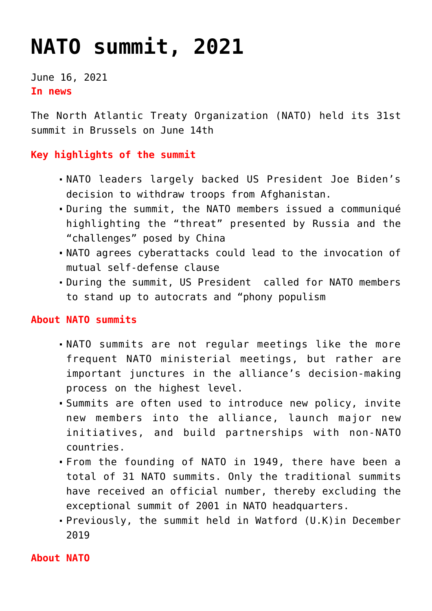## **[NATO summit, 2021](https://journalsofindia.com/nato-summit-2021/)**

June 16, 2021 **In news** 

The North Atlantic Treaty Organization (NATO) held its 31st summit in Brussels on June 14th

## **Key highlights of the summit**

- NATO leaders largely backed US President Joe Biden's decision to withdraw troops from Afghanistan.
- During the summit, the NATO members issued a communiqué highlighting the "threat" presented by Russia and the "challenges" posed by China
- NATO agrees cyberattacks could lead to the invocation of mutual self-defense clause
- During the summit, US President called for NATO members to stand up to autocrats and "phony populism

## **About NATO summits**

- NATO summits are not regular meetings like the more frequent NATO ministerial meetings, but rather are important junctures in the alliance's decision-making process on the highest level.
- Summits are often used to introduce new policy, invite new members into the alliance, launch major new initiatives, and build partnerships with non-NATO countries.
- From the founding of NATO in 1949, there have been a total of 31 NATO summits. Only the traditional summits have received an official number, thereby excluding the exceptional summit of 2001 in NATO headquarters.
- Previously, the summit held in Watford (U.K)in December 2019

**About NATO**